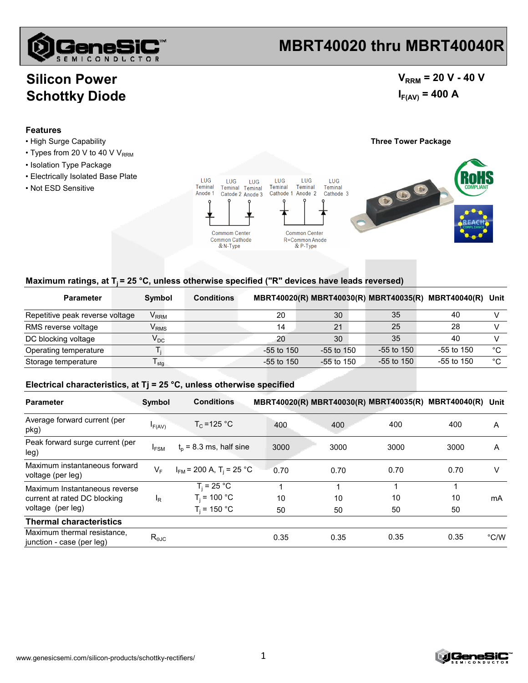

### **MBRT40020 thru MBRT40040R**

### **Silicon Power Schottky Diode**

### $V_{RRM}$  = 20 V - 40 V  $I_{F(AV)} = 400 A$

#### **Features**

- High Surge Capability **Three Tower Package**
- $\cdot$  Types from 20 V to 40 V V<sub>RRM</sub>
- Isolation Type Package
- Electrically Isolated Base Plate
- Not ESD Sensitive





#### Maximum ratings, at T<sub>i</sub> = 25 °C, unless otherwise specified ("R" devices have leads reversed)

| <b>Parameter</b>                | Symbol                      | <b>Conditions</b> |              |                |              | MBRT40020(R) MBRT40030(R) MBRT40035(R) MBRT40040(R) Unit |             |
|---------------------------------|-----------------------------|-------------------|--------------|----------------|--------------|----------------------------------------------------------|-------------|
| Repetitive peak reverse voltage | $\mathsf{V}_{\mathsf{RRM}}$ |                   | 20           | 30             | 35           | 40                                                       |             |
| RMS reverse voltage             | $V_{RMS}$                   |                   | 14           | 21             | 25           | 28                                                       |             |
| DC blocking voltage             | $\mathsf{V}_{\mathsf{DC}}$  |                   | 20           | 30             | 35           | 40                                                       |             |
| Operating temperature           |                             |                   | $-55$ to 150 | $-55$ to $150$ | -55 to 150   | $-55$ to 150                                             | $^{\circ}C$ |
| Storage temperature             | ' stq                       |                   | $-55$ to 150 | $-55$ to 150   | $-55$ to 150 | $-55$ to 150                                             | °C          |

#### **Electrical characteristics, at Tj = 25 °C, unless otherwise specified**

| <b>Parameter</b>                                         | Symbol           | <b>Conditions</b>                        |      | MBRT40020(R) MBRT40030(R) MBRT40035(R) MBRT40040(R) Unit |      |      |               |
|----------------------------------------------------------|------------------|------------------------------------------|------|----------------------------------------------------------|------|------|---------------|
| Average forward current (per<br>pkg)                     | $I_{F(AV)}$      | $T_c = 125 °C$                           | 400  | 400                                                      | 400  | 400  | A             |
| Peak forward surge current (per<br>leg)                  | $I_{FSM}$        | $t_0$ = 8.3 ms, half sine                | 3000 | 3000                                                     | 3000 | 3000 | A             |
| Maximum instantaneous forward<br>voltage (per leg)       | $V_F$            | $I_{FM}$ = 200 A, T <sub>i</sub> = 25 °C | 0.70 | 0.70                                                     | 0.70 | 0.70 | V             |
| Maximum Instantaneous reverse                            |                  | $T_i = 25 °C$                            |      |                                                          |      |      | mA            |
| current at rated DC blocking                             | <sup>I</sup> R   | $T_i = 100 °C$                           | 10   | 10                                                       | 10   | 10   |               |
| voltage (per leg)                                        |                  | $T_i$ = 150 °C                           | 50   | 50                                                       | 50   | 50   |               |
| <b>Thermal characteristics</b>                           |                  |                                          |      |                                                          |      |      |               |
| Maximum thermal resistance.<br>junction - case (per leg) | $R_{\text{eJC}}$ |                                          | 0.35 | 0.35                                                     | 0.35 | 0.35 | $\degree$ C/W |

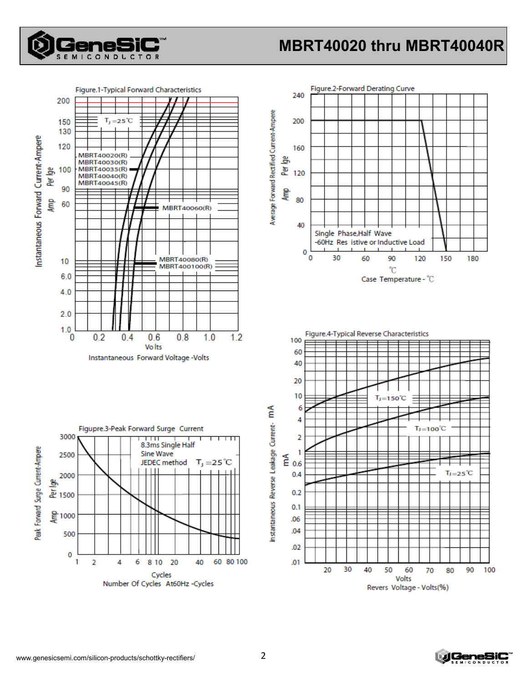

## MBRT40020 thru MBRT40040R